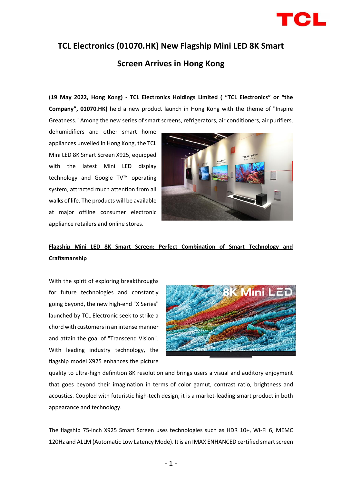

# **TCL Electronics (01070.HK) New Flagship Mini LED 8K Smart Screen Arrives in Hong Kong**

**(19 May 2022, Hong Kong) - TCL Electronics Holdings Limited ( "TCL Electronics" or "the Company", 01070.HK)** held a new product launch in Hong Kong with the theme of "Inspire Greatness." Among the new series of smart screens, refrigerators, air conditioners, air purifiers,

dehumidifiers and other smart home appliances unveiled in Hong Kong, the TCL Mini LED 8K Smart Screen X925, equipped with the latest Mini LED display technology and Google TV™ operating system, attracted much attention from all walks of life. The products will be available at major offline consumer electronic appliance retailers and online stores.



## **Flagship Mini LED 8K Smart Screen: Perfect Combination of Smart Technology and Craftsmanship**

With the spirit of exploring breakthroughs for future technologies and constantly going beyond, the new high-end "X Series" launched by TCL Electronic seek to strike a chord with customers in an intense manner and attain the goal of "Transcend Vision". With leading industry technology, the flagship model X925 enhances the picture



quality to ultra-high definition 8K resolution and brings users a visual and auditory enjoyment that goes beyond their imagination in terms of color gamut, contrast ratio, brightness and acoustics. Coupled with futuristic high-tech design, it is a market-leading smart product in both appearance and technology.

The flagship 75-inch X925 Smart Screen uses technologies such as HDR 10+, Wi-Fi 6, MEMC 120Hz and ALLM (Automatic Low Latency Mode). It is an IMAX ENHANCED certified smart screen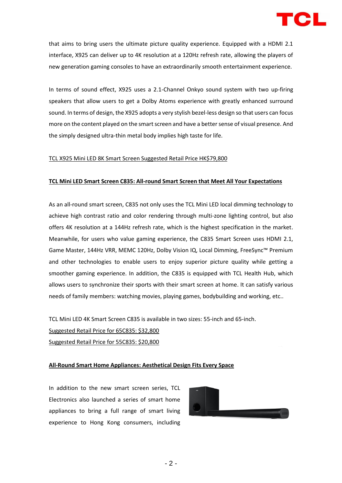

that aims to bring users the ultimate picture quality experience. Equipped with a HDMI 2.1 interface, X925 can deliver up to 4K resolution at a 120Hz refresh rate, allowing the players of new generation gaming consoles to have an extraordinarily smooth entertainment experience.

In terms of sound effect, X925 uses a 2.1-Channel Onkyo sound system with two up-firing speakers that allow users to get a Dolby Atoms experience with greatly enhanced surround sound. In terms of design, the X925 adopts a very stylish bezel-less design so that users can focus more on the content played on the smart screen and have a better sense of visual presence. And the simply designed ultra-thin metal body implies high taste for life.

### TCL X925 Mini LED 8K Smart Screen Suggested Retail Price HK\$79,800

#### **TCL Mini LED Smart Screen C835: All-round Smart Screen that Meet All Your Expectations**

As an all-round smart screen, C835 not only uses the TCL Mini LED local dimming technology to achieve high contrast ratio and color rendering through multi-zone lighting control, but also offers 4K resolution at a 144Hz refresh rate, which is the highest specification in the market. Meanwhile, for users who value gaming experience, the C835 Smart Screen uses HDMI 2.1, Game Master, 144Hz VRR, MEMC 120Hz, Dolby Vision IQ, Local Dimming, FreeSync™ Premium and other technologies to enable users to enjoy superior picture quality while getting a smoother gaming experience. In addition, the C835 is equipped with TCL Health Hub, which allows users to synchronize their sports with their smart screen at home. It can satisfy various needs of family members: watching movies, playing games, bodybuilding and working, etc..

TCL Mini LED 4K Smart Screen C835 is available in two sizes: 55-inch and 65-inch. Suggested Retail Price for 65C835: \$32,800 Suggested Retail Price for 55C835: \$20,800

#### **All-Round Smart Home Appliances: Aesthetical Design Fits Every Space**

In addition to the new smart screen series, TCL Electronics also launched a series of smart home appliances to bring a full range of smart living experience to Hong Kong consumers, including

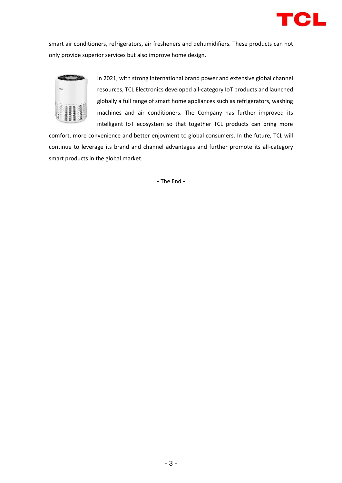

smart air conditioners, refrigerators, air fresheners and dehumidifiers. These products can not only provide superior services but also improve home design.



In 2021, with strong international brand power and extensive global channel resources, TCL Electronics developed all-category IoT products and launched globally a full range of smart home appliances such as refrigerators, washing machines and air conditioners. The Company has further improved its intelligent IoT ecosystem so that together TCL products can bring more

comfort, more convenience and better enjoyment to global consumers. In the future, TCL will continue to leverage its brand and channel advantages and further promote its all-category smart products in the global market.

- The End -